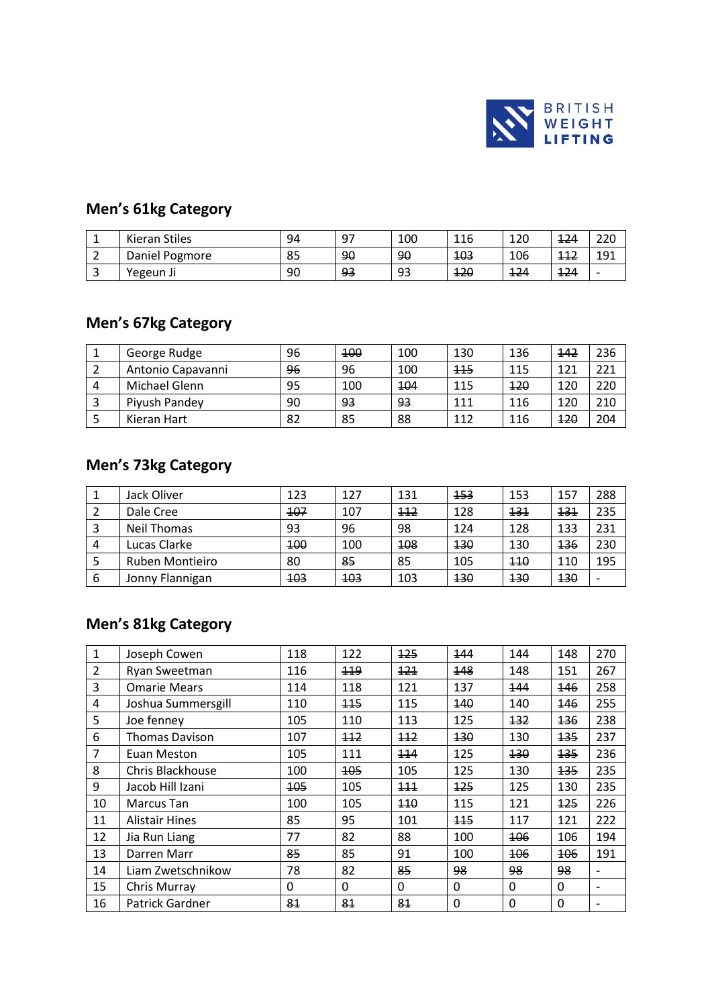

# **Men's 61kg Category**

|          | Kieran Stiles  | 94 | 97<br><u>.</u> | 100 | 116 | 120 | 124 | 220 |
|----------|----------------|----|----------------|-----|-----|-----|-----|-----|
| <u>.</u> | Daniel Pogmore | 85 | 90             | 90  | 103 | 106 | 112 | 191 |
|          | Yegeun Ji      | 90 | 93             | 93  | 120 | 124 | 124 |     |

#### **Men's 67kg Category**

|   | George Rudge      | 96 | 400 | 100 | 130        | 136 | 442        | 236 |
|---|-------------------|----|-----|-----|------------|-----|------------|-----|
|   | Antonio Capavanni | 96 | 96  | 100 | <b>115</b> | 115 | 121        | 221 |
| 4 | Michael Glenn     | 95 | 100 | 104 | 115        | 120 | 120        | 220 |
|   | Piyush Pandey     | 90 | 93  | 93  | 111        | 116 | 120        | 210 |
|   | Kieran Hart       | 82 | 85  | 88  | 112        | 116 | <b>120</b> | 204 |

#### **Men's 73kg Category**

|   | Jack Oliver     | 123        | 127        | 131 | 153 | 153 | 157         | 288 |
|---|-----------------|------------|------------|-----|-----|-----|-------------|-----|
|   | Dale Cree       | 107        | 107        | 112 | 128 | 131 | <u> 131</u> | 235 |
|   | Neil Thomas     | 93         | 96         | 98  | 124 | 128 | 133         | 231 |
| 4 | Lucas Clarke    | 100        | 100        | 108 | 130 | 130 | <b>136</b>  | 230 |
|   | Ruben Montieiro | 80         | 85         | 85  | 105 | 110 | 110         | 195 |
| 6 | Jonny Flannigan | <b>103</b> | <b>103</b> | 103 | 130 | 130 | <b>130</b>  |     |

## **Men's 81kg Category**

| 1              | Joseph Cowen          | 118 | 122      | 125      | 144         | 144         | 148      | 270                      |
|----------------|-----------------------|-----|----------|----------|-------------|-------------|----------|--------------------------|
| $\overline{2}$ | Ryan Sweetman         | 116 | 119      | 121      | 148         | 148         | 151      | 267                      |
| 3              | <b>Omarie Mears</b>   | 114 | 118      | 121      | 137         | 144         | 146      | 258                      |
| 4              | Joshua Summersgill    | 110 | 115      | 115      | 140         | 140         | 146      | 255                      |
| 5              | Joe fenney            | 105 | 110      | 113      | 125         | 132         | 136      | 238                      |
| 6              | <b>Thomas Davison</b> | 107 | 112      | 112      | 130         | 130         | 135      | 237                      |
| $\overline{7}$ | Euan Meston           | 105 | 111      | 114      | 125         | 130         | 135      | 236                      |
| 8              | Chris Blackhouse      | 100 | 105      | 105      | 125         | 130         | 135      | 235                      |
| 9              | Jacob Hill Izani      | 105 | 105      | 111      | 125         | 125         | 130      | 235                      |
| 10             | Marcus Tan            | 100 | 105      | 110      | 115         | 121         | 125      | 226                      |
| 11             | <b>Alistair Hines</b> | 85  | 95       | 101      | 115         | 117         | 121      | 222                      |
| 12             | Jia Run Liang         | 77  | 82       | 88       | 100         | 106         | 106      | 194                      |
| 13             | Darren Marr           | 85  | 85       | 91       | 100         | 106         | 106      | 191                      |
| 14             | Liam Zwetschnikow     | 78  | 82       | 85       | 98          | 98          | 98       |                          |
| 15             | Chris Murray          | 0   | $\Omega$ | $\Omega$ | 0           | 0           | $\Omega$ | $\overline{\phantom{0}}$ |
| 16             | Patrick Gardner       | 81  | 81       | 81       | $\mathbf 0$ | $\mathbf 0$ | $\Omega$ |                          |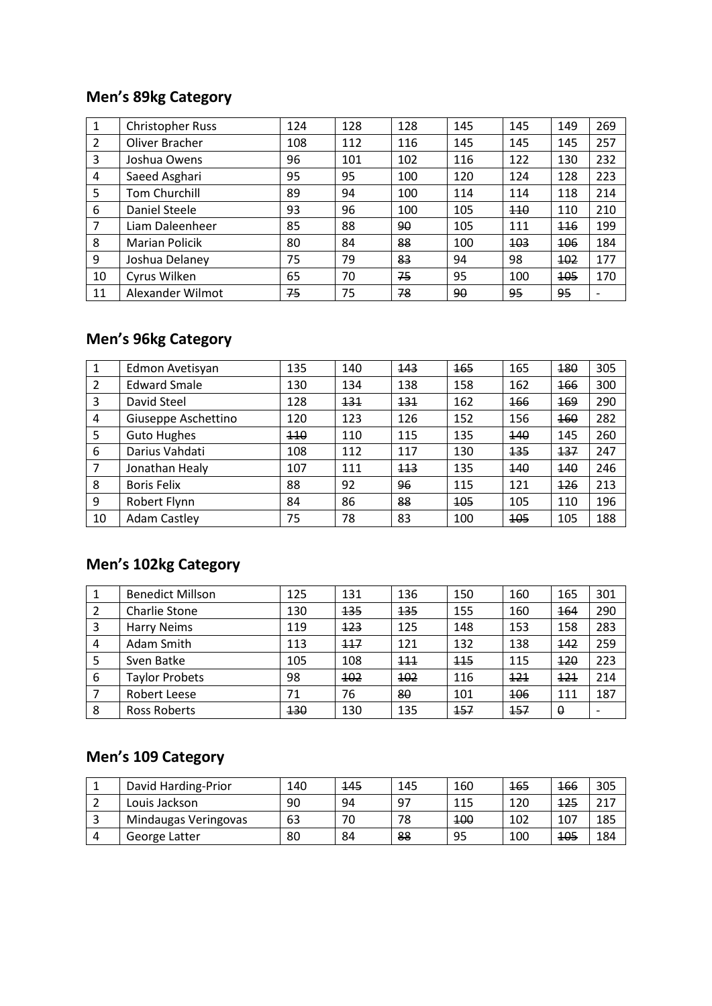## **Men's 89kg Category**

| 1              | <b>Christopher Russ</b> | 124 | 128 | 128 | 145 | 145 | 149 | 269 |
|----------------|-------------------------|-----|-----|-----|-----|-----|-----|-----|
| 2              | Oliver Bracher          | 108 | 112 | 116 | 145 | 145 | 145 | 257 |
| 3              | Joshua Owens            | 96  | 101 | 102 | 116 | 122 | 130 | 232 |
| 4              | Saeed Asghari           | 95  | 95  | 100 | 120 | 124 | 128 | 223 |
| 5              | <b>Tom Churchill</b>    | 89  | 94  | 100 | 114 | 114 | 118 | 214 |
| 6              | Daniel Steele           | 93  | 96  | 100 | 105 | 110 | 110 | 210 |
| $\overline{7}$ | Liam Daleenheer         | 85  | 88  | 90  | 105 | 111 | 116 | 199 |
| 8              | <b>Marian Policik</b>   | 80  | 84  | 88  | 100 | 103 | 106 | 184 |
| 9              | Joshua Delaney          | 75  | 79  | 83  | 94  | 98  | 102 | 177 |
| 10             | Cyrus Wilken            | 65  | 70  | 75  | 95  | 100 | 105 | 170 |
| 11             | Alexander Wilmot        | 75  | 75  | 78  | 90  | 95  | 95  |     |

# **Men's 96kg Category**

| 1              | Edmon Avetisyan     | 135 | 140 | 143 | 165 | 165 | 180        | 305 |
|----------------|---------------------|-----|-----|-----|-----|-----|------------|-----|
| $\overline{2}$ | <b>Edward Smale</b> | 130 | 134 | 138 | 158 | 162 | <b>166</b> | 300 |
| 3              | David Steel         | 128 | 131 | 131 | 162 | 166 | <b>169</b> | 290 |
| 4              | Giuseppe Aschettino | 120 | 123 | 126 | 152 | 156 | 160        | 282 |
| 5              | <b>Guto Hughes</b>  | 440 | 110 | 115 | 135 | 140 | 145        | 260 |
| 6              | Darius Vahdati      | 108 | 112 | 117 | 130 | 135 | 137        | 247 |
| 7              | Jonathan Healy      | 107 | 111 | 113 | 135 | 140 | 140        | 246 |
| 8              | <b>Boris Felix</b>  | 88  | 92  | 96  | 115 | 121 | 126        | 213 |
| 9              | Robert Flynn        | 84  | 86  | 88  | 105 | 105 | 110        | 196 |
| 10             | <b>Adam Castley</b> | 75  | 78  | 83  | 100 | 105 | 105        | 188 |

# **Men's 102kg Category**

|   | <b>Benedict Millson</b> | 125 | 131 | 136 | 150 | 160 | 165      | 301                      |
|---|-------------------------|-----|-----|-----|-----|-----|----------|--------------------------|
| 2 | Charlie Stone           | 130 | 135 | 135 | 155 | 160 | 164      | 290                      |
| 3 | <b>Harry Neims</b>      | 119 | 123 | 125 | 148 | 153 | 158      | 283                      |
| 4 | Adam Smith              | 113 | 117 | 121 | 132 | 138 | 142      | 259                      |
| 5 | Sven Batke              | 105 | 108 | 111 | 115 | 115 | 120      | 223                      |
| 6 | <b>Taylor Probets</b>   | 98  | 102 | 102 | 116 | 121 | 121      | 214                      |
|   | Robert Leese            | 71  | 76  | 80  | 101 | 106 | 111      | 187                      |
| 8 | Ross Roberts            | 130 | 130 | 135 | 157 | 157 | $\theta$ | $\overline{\phantom{0}}$ |

## **Men's 109 Category**

|   | David Harding-Prior  | 140 | 145 | 145 | 160 | <b>165</b> | 166        | 305  |
|---|----------------------|-----|-----|-----|-----|------------|------------|------|
|   | Louis Jackson        | 90  | 94  | 97  | 115 | 120        | 125        | าง ¬ |
| ت | Mindaugas Veringovas | 63  | 70  | 78  | 100 | 102        | 107        | 185  |
| 4 | George Latter        | 80  | 84  | 88  | 95  | 100        | <b>105</b> | 184  |